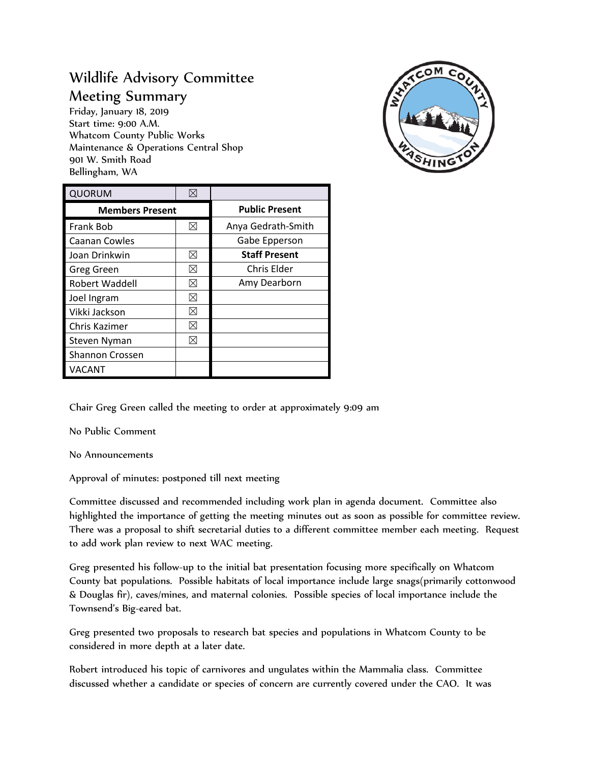## Wildlife Advisory Committee Meeting Summary

Friday, January 18, 2019 Start time: 9:00 A.M. Whatcom County Public Works Maintenance & Operations Central Shop 901 W. Smith Road Bellingham, WA



| <b>QUORUM</b>          |   |                       |
|------------------------|---|-----------------------|
| <b>Members Present</b> |   | <b>Public Present</b> |
| <b>Frank Bob</b>       | ⊠ | Anya Gedrath-Smith    |
| Caanan Cowles          |   | Gabe Epperson         |
| Joan Drinkwin          | ⊠ | <b>Staff Present</b>  |
| Greg Green             | ⊠ | Chris Elder           |
| <b>Robert Waddell</b>  | ⋈ | Amy Dearborn          |
| Joel Ingram            | ⊠ |                       |
| Vikki Jackson          | ⋈ |                       |
| Chris Kazimer          | ⋈ |                       |
| Steven Nyman           | ⋈ |                       |
| <b>Shannon Crossen</b> |   |                       |
| VACANT                 |   |                       |

Chair Greg Green called the meeting to order at approximately 9:09 am

No Public Comment

No Announcements

Approval of minutes: postponed till next meeting

Committee discussed and recommended including work plan in agenda document. Committee also highlighted the importance of getting the meeting minutes out as soon as possible for committee review. There was a proposal to shift secretarial duties to a different committee member each meeting. Request to add work plan review to next WAC meeting.

Greg presented his follow-up to the initial bat presentation focusing more specifically on Whatcom County bat populations. Possible habitats of local importance include large snags(primarily cottonwood & Douglas fir), caves/mines, and maternal colonies. Possible species of local importance include the Townsend's Big-eared bat.

Greg presented two proposals to research bat species and populations in Whatcom County to be considered in more depth at a later date.

Robert introduced his topic of carnivores and ungulates within the Mammalia class. Committee discussed whether a candidate or species of concern are currently covered under the CAO. It was